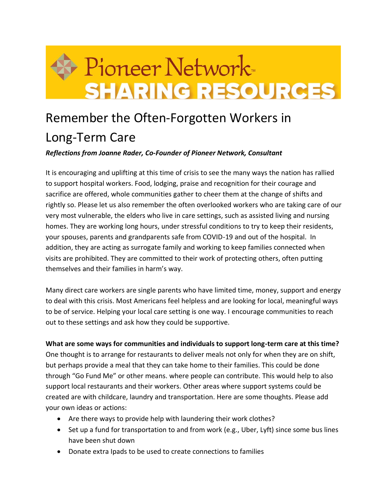

## Remember the Often-Forgotten Workers in Long-Term Care

## *Reflections from Joanne Rader, Co-Founder of Pioneer Network, Consultant*

It is encouraging and uplifting at this time of crisis to see the many ways the nation has rallied to support hospital workers. Food, lodging, praise and recognition for their courage and sacrifice are offered, whole communities gather to cheer them at the change of shifts and rightly so. Please let us also remember the often overlooked workers who are taking care of our very most vulnerable, the elders who live in care settings, such as assisted living and nursing homes. They are working long hours, under stressful conditions to try to keep their residents, your spouses, parents and grandparents safe from COVID-19 and out of the hospital. In addition, they are acting as surrogate family and working to keep families connected when visits are prohibited. They are committed to their work of protecting others, often putting themselves and their families in harm's way.

Many direct care workers are single parents who have limited time, money, support and energy to deal with this crisis. Most Americans feel helpless and are looking for local, meaningful ways to be of service. Helping your local care setting is one way. I encourage communities to reach out to these settings and ask how they could be supportive.

## **What are some ways for communities and individuals to support long-term care at this time?**

One thought is to arrange for restaurants to deliver meals not only for when they are on shift, but perhaps provide a meal that they can take home to their families. This could be done through "Go Fund Me" or other means. where people can contribute. This would help to also support local restaurants and their workers*.* Other areas where support systems could be created are with childcare, laundry and transportation. Here are some thoughts. Please add your own ideas or actions:

- Are there ways to provide help with laundering their work clothes?
- Set up a fund for transportation to and from work (e.g., Uber, Lyft) since some bus lines have been shut down
- Donate extra Ipads to be used to create connections to families